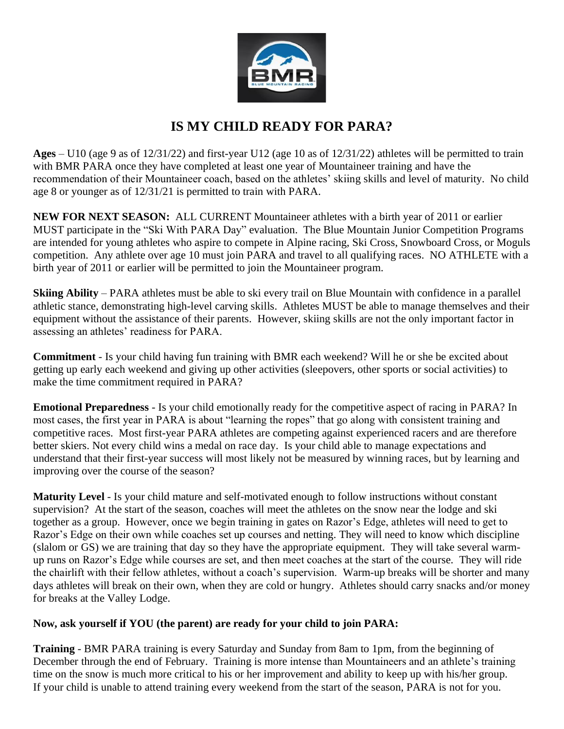

## **IS MY CHILD READY FOR PARA?**

**Ages** – U10 (age 9 as of 12/31/22) and first-year U12 (age 10 as of 12/31/22) athletes will be permitted to train with BMR PARA once they have completed at least one year of Mountaineer training and have the recommendation of their Mountaineer coach, based on the athletes' skiing skills and level of maturity. No child age 8 or younger as of 12/31/21 is permitted to train with PARA.

**NEW FOR NEXT SEASON:** ALL CURRENT Mountaineer athletes with a birth year of 2011 or earlier MUST participate in the "Ski With PARA Day" evaluation. The Blue Mountain Junior Competition Programs are intended for young athletes who aspire to compete in Alpine racing, Ski Cross, Snowboard Cross, or Moguls competition. Any athlete over age 10 must join PARA and travel to all qualifying races. NO ATHLETE with a birth year of 2011 or earlier will be permitted to join the Mountaineer program.

**Skiing Ability** – PARA athletes must be able to ski every trail on Blue Mountain with confidence in a parallel athletic stance, demonstrating high-level carving skills. Athletes MUST be able to manage themselves and their equipment without the assistance of their parents. However, skiing skills are not the only important factor in assessing an athletes' readiness for PARA.

**Commitment** - Is your child having fun training with BMR each weekend? Will he or she be excited about getting up early each weekend and giving up other activities (sleepovers, other sports or social activities) to make the time commitment required in PARA?

**Emotional Preparedness** - Is your child emotionally ready for the competitive aspect of racing in PARA? In most cases, the first year in PARA is about "learning the ropes" that go along with consistent training and competitive races. Most first-year PARA athletes are competing against experienced racers and are therefore better skiers. Not every child wins a medal on race day. Is your child able to manage expectations and understand that their first-year success will most likely not be measured by winning races, but by learning and improving over the course of the season?

**Maturity Level** - Is your child mature and self-motivated enough to follow instructions without constant supervision? At the start of the season, coaches will meet the athletes on the snow near the lodge and ski together as a group. However, once we begin training in gates on Razor's Edge, athletes will need to get to Razor's Edge on their own while coaches set up courses and netting. They will need to know which discipline (slalom or GS) we are training that day so they have the appropriate equipment. They will take several warmup runs on Razor's Edge while courses are set, and then meet coaches at the start of the course. They will ride the chairlift with their fellow athletes, without a coach's supervision. Warm-up breaks will be shorter and many days athletes will break on their own, when they are cold or hungry. Athletes should carry snacks and/or money for breaks at the Valley Lodge.

## **Now, ask yourself if YOU (the parent) are ready for your child to join PARA:**

**Training** - BMR PARA training is every Saturday and Sunday from 8am to 1pm, from the beginning of December through the end of February. Training is more intense than Mountaineers and an athlete's training time on the snow is much more critical to his or her improvement and ability to keep up with his/her group. If your child is unable to attend training every weekend from the start of the season, PARA is not for you.